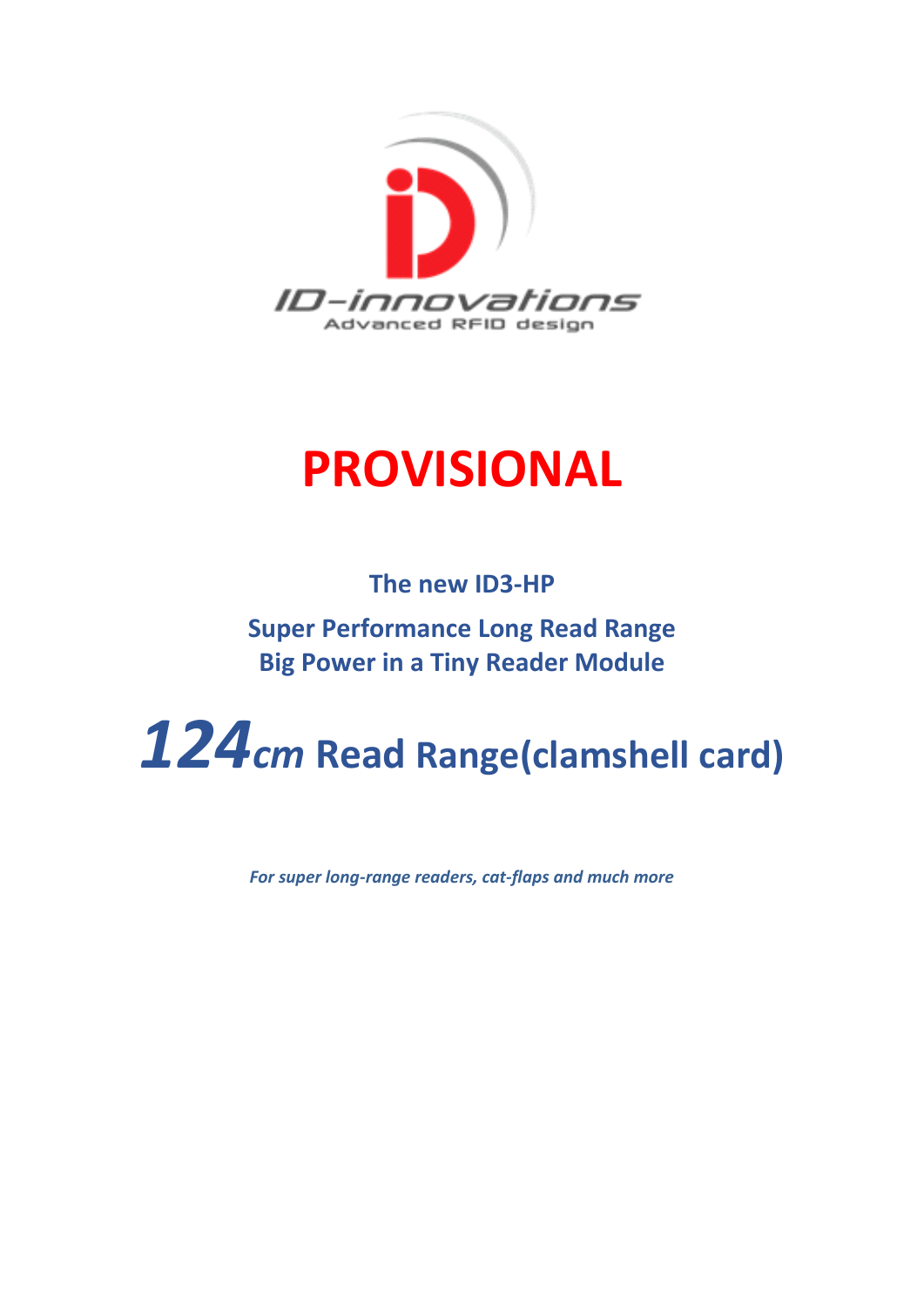

# **PROVISIONAL**

**The new ID3-HP Super Performance Long Read Range Big Power in a Tiny Reader Module**

# *124cm* **Read Range(clamshell card)**

*For super long-range readers, cat-flaps and much more*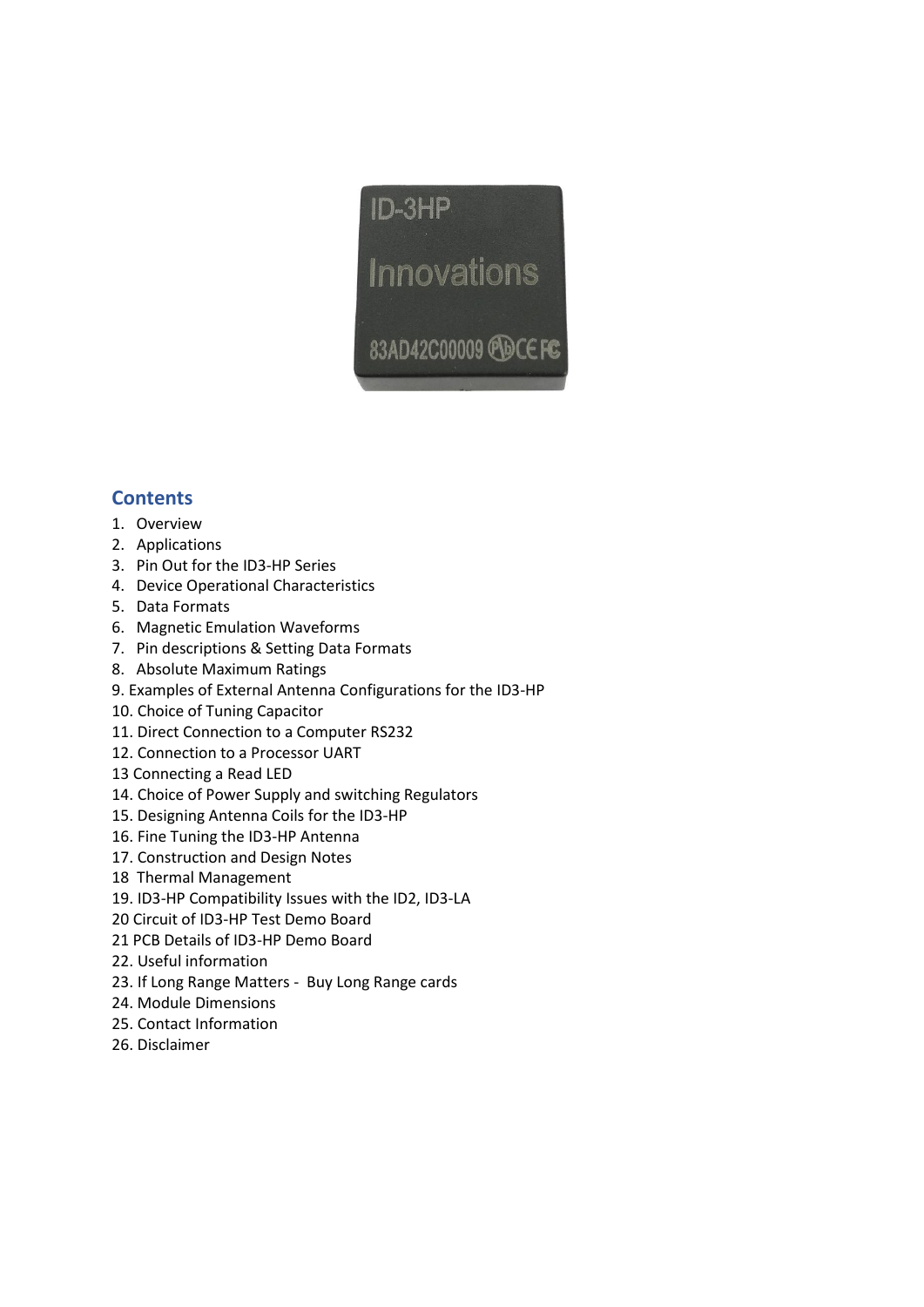

# **Contents**

- 1. Overview
- 2. Applications
- 3. Pin Out for the ID3-HP Series
- 4. Device Operational Characteristics
- 5. Data Formats
- 6. Magnetic Emulation Waveforms
- 7. Pin descriptions & Setting Data Formats
- 8. Absolute Maximum Ratings
- 9. Examples of External Antenna Configurations for the ID3-HP
- 10. Choice of Tuning Capacitor
- 11. Direct Connection to a Computer RS232
- 12. Connection to a Processor UART
- 13 Connecting a Read LED
- 14. Choice of Power Supply and switching Regulators
- 15. Designing Antenna Coils for the ID3-HP
- 16. Fine Tuning the ID3-HP Antenna
- 17. Construction and Design Notes
- 18 Thermal Management
- 19. ID3-HP Compatibility Issues with the ID2, ID3-LA
- 20 Circuit of ID3-HP Test Demo Board
- 21 PCB Details of ID3-HP Demo Board
- 22. Useful information
- 23. If Long Range Matters Buy Long Range cards
- 24. Module Dimensions
- 25. Contact Information
- 26. Disclaimer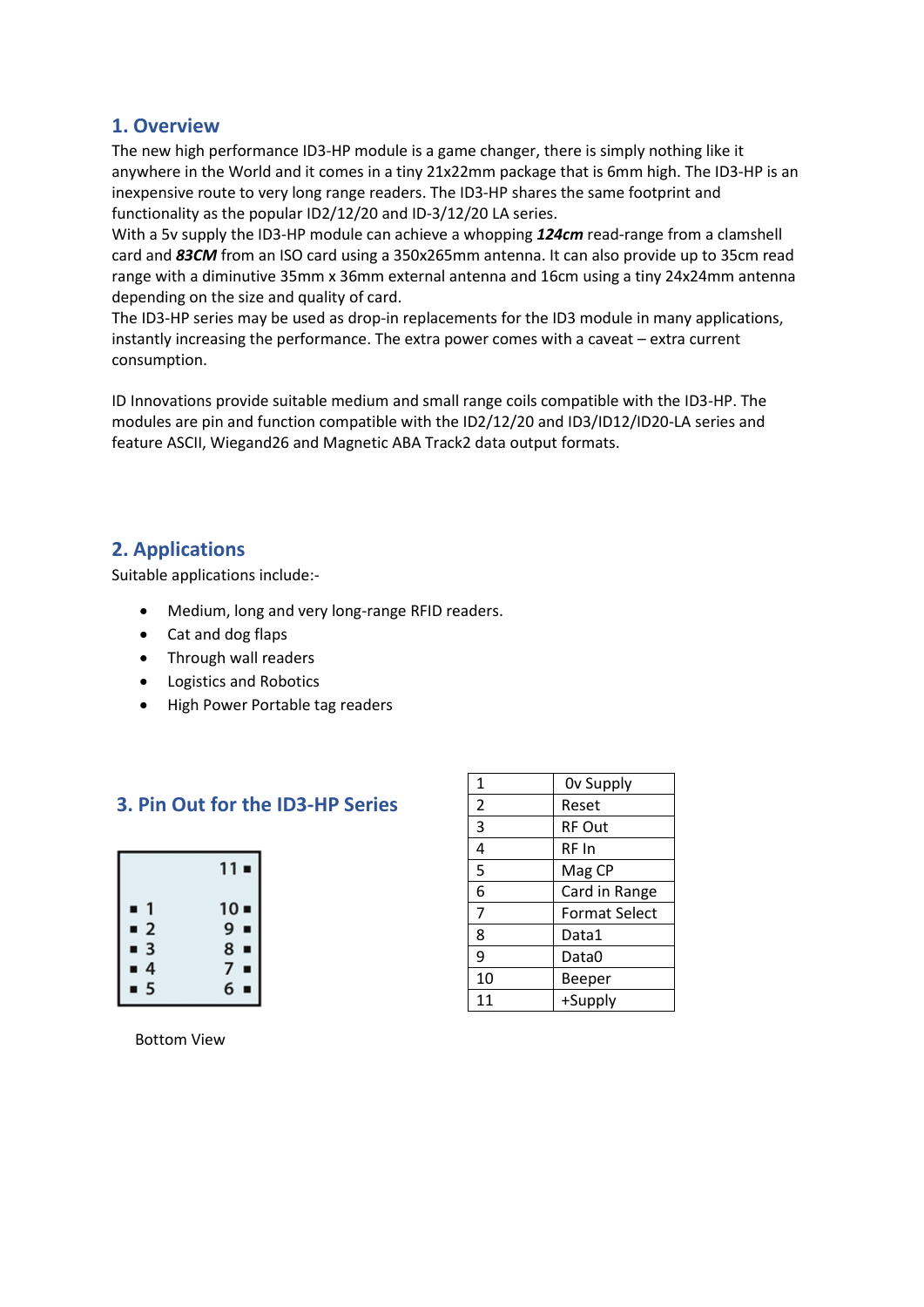#### **1. Overview**

The new high performance ID3-HP module is a game changer, there is simply nothing like it anywhere in the World and it comes in a tiny 21x22mm package that is 6mm high. The ID3-HP is an inexpensive route to very long range readers. The ID3-HP shares the same footprint and functionality as the popular ID2/12/20 and ID-3/12/20 LA series.

With a 5v supply the ID3-HP module can achieve a whopping *124cm* read-range from a clamshell card and *83CM* from an ISO card using a 350x265mm antenna. It can also provide up to 35cm read range with a diminutive 35mm x 36mm external antenna and 16cm using a tiny 24x24mm antenna depending on the size and quality of card.

The ID3-HP series may be used as drop-in replacements for the ID3 module in many applications, instantly increasing the performance. The extra power comes with a caveat – extra current consumption.

ID Innovations provide suitable medium and small range coils compatible with the ID3-HP. The modules are pin and function compatible with the ID2/12/20 and ID3/ID12/ID20-LA series and feature ASCII, Wiegand26 and Magnetic ABA Track2 data output formats.

# **2. Applications**

Suitable applications include:-

- Medium, long and very long-range RFID readers.
- Cat and dog flaps
- Through wall readers
- Logistics and Robotics
- High Power Portable tag readers

# **3. Pin Out for the ID3-HP Series**

|                              | 11∎    |
|------------------------------|--------|
| 1<br>п                       | $10 -$ |
| $\overline{\mathbf{c}}$<br>п | $9 -$  |
| $\overline{\mathbf{3}}$<br>п | $8 -$  |
| $\overline{4}$<br>π          | 7<br>п |
| $\overline{5}$               | 6<br>Ξ |

| 1              | Ov Supply            |
|----------------|----------------------|
| $\overline{2}$ | Reset                |
| 3              | RF Out               |
| 4              | RF In                |
| 5              | Mag CP               |
| 6              | Card in Range        |
| 7              | <b>Format Select</b> |
| 8              | Data1                |
| 9              | Data0                |
| 10             | Beeper               |
| 11             | +Supply              |

Bottom View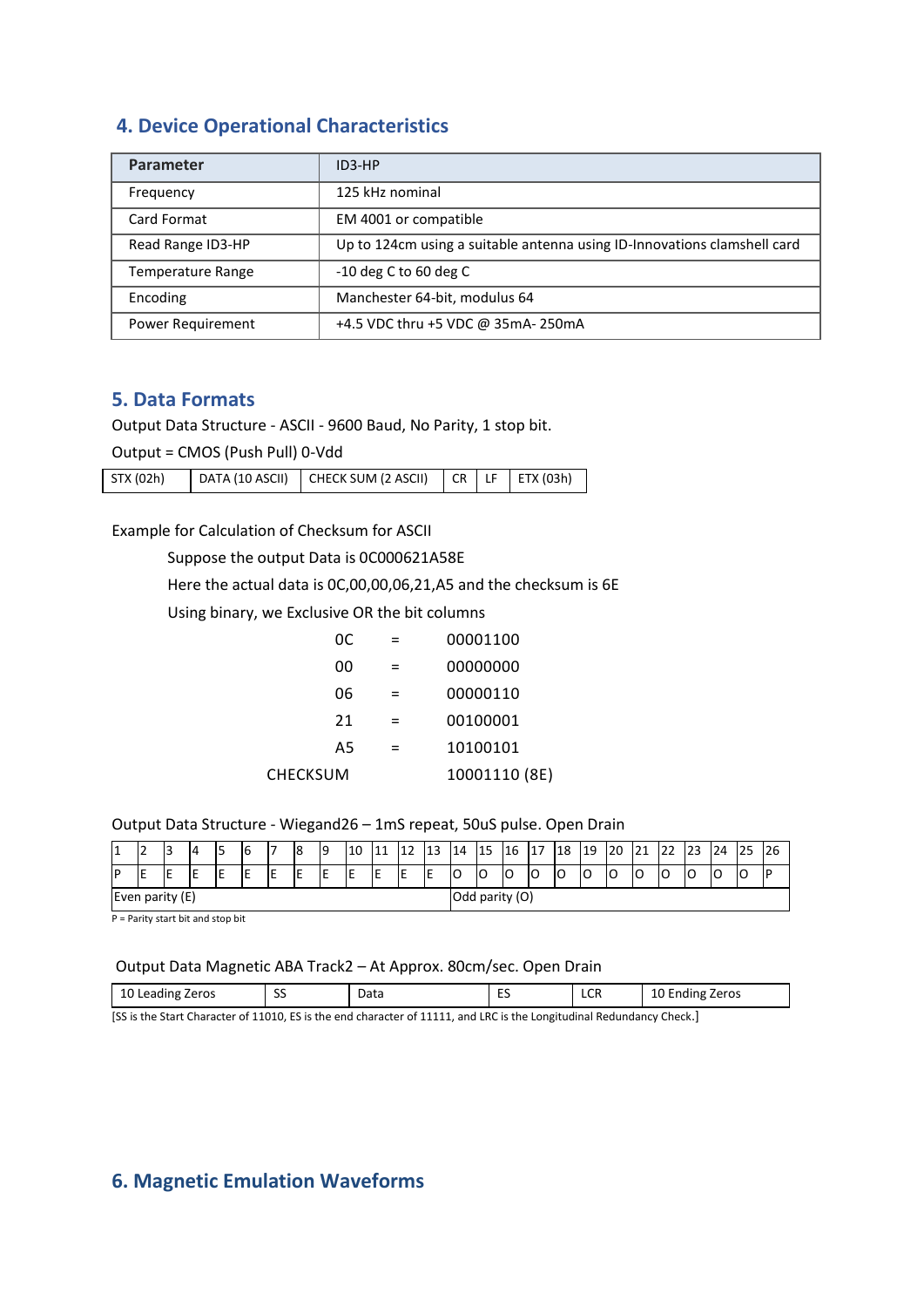# **4. Device Operational Characteristics**

| <b>Parameter</b>  | $ID3-HP$                                                                 |
|-------------------|--------------------------------------------------------------------------|
| Frequency         | 125 kHz nominal                                                          |
| Card Format       | EM 4001 or compatible                                                    |
| Read Range ID3-HP | Up to 124cm using a suitable antenna using ID-Innovations clamshell card |
| Temperature Range | $-10$ deg C to 60 deg C                                                  |
| Encoding          | Manchester 64-bit, modulus 64                                            |
| Power Requirement | +4.5 VDC thru +5 VDC @ 35mA- 250mA                                       |

#### **5. Data Formats**

Output Data Structure - ASCII - 9600 Baud, No Parity, 1 stop bit.

Output = CMOS (Push Pull) 0-Vdd

| STX (02h) | DATA (10 ASCII)   CHECK SUM (2 ASCII)   CR   LF   ETX (03h) |  |  |
|-----------|-------------------------------------------------------------|--|--|
|           |                                                             |  |  |

Example for Calculation of Checksum for ASCII

Suppose the output Data is 0C000621A58E

Here the actual data is 0C,00,00,06,21,A5 and the checksum is 6E

Using binary, we Exclusive OR the bit columns

|                 | 0C. | =   | 00001100      |
|-----------------|-----|-----|---------------|
|                 | 00  | $=$ | 00000000      |
|                 | 06  | =   | 00000110      |
|                 | 21  | $=$ | 00100001      |
|                 | A5  | =   | 10100101      |
| <b>CHECKSUM</b> |     |     | 10001110 (8E) |

#### Output Data Structure - Wiegand26 – 1mS repeat, 50uS pulse. Open Drain

| і 4<br>. . | ∽<br>-          | 13 | 14 |  | b |    | 8   | 19  | 10             | 11 | 12 | 13     | 14 | 15 | 16 | 17 | 18 | 19 | 20 | 21 | ▵ | 23 | 24 | 25 | 26 |
|------------|-----------------|----|----|--|---|----|-----|-----|----------------|----|----|--------|----|----|----|----|----|----|----|----|---|----|----|----|----|
| IP         | -               | ıE | -  |  |   | ــ | . . | . . | -              | -  |    | F<br>- | ١o | O  | lO | ◡  | IО | ۰C | C  | Ć  | O | ١O | ╰  | 0  |    |
|            | Even parity (E) |    |    |  |   |    |     |     | Odd parity (O) |    |    |        |    |    |    |    |    |    |    |    |   |    |    |    |    |

P = Parity start bit and stop bit

#### Output Data Magnetic ABA Track2 – At Approx. 80cm/sec. Open Drain

| 10 Leading<br>Zeros | $\sim$<br>∼<br>ັບ | Data | $ \epsilon$<br>-- | $\sim$<br>LUN | $\overline{ }$<br>Zeros<br>Ending<br>∸ |
|---------------------|-------------------|------|-------------------|---------------|----------------------------------------|

[SS is the Start Character of 11010, ES is the end character of 11111, and LRC is the Longitudinal Redundancy Check.]

# **6. Magnetic Emulation Waveforms**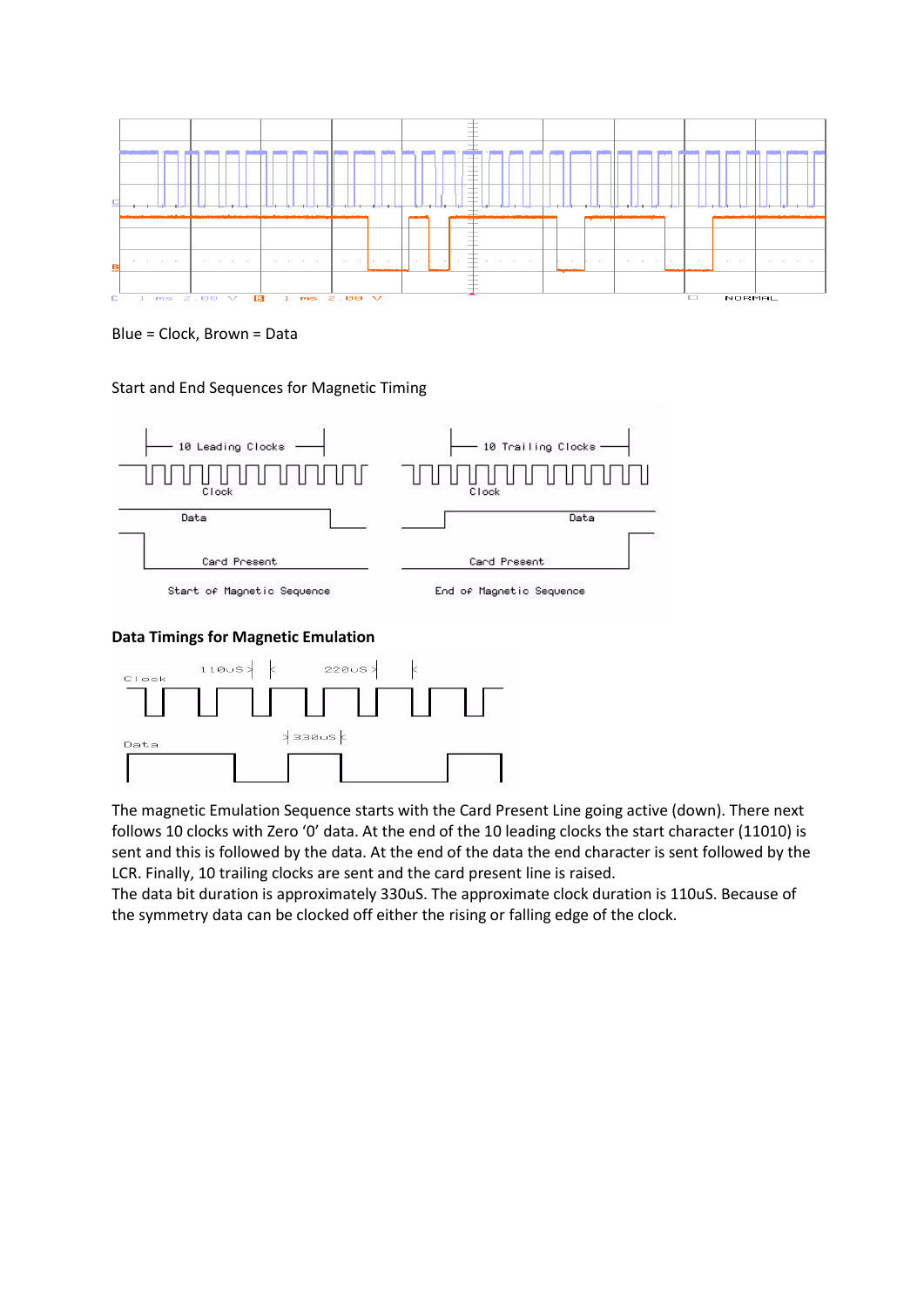

Blue = Clock, Brown = Data

Start and End Sequences for Magnetic Timing



#### **Data Timings for Magnetic Emulation**



The magnetic Emulation Sequence starts with the Card Present Line going active (down). There next follows 10 clocks with Zero '0' data. At the end of the 10 leading clocks the start character (11010) is sent and this is followed by the data. At the end of the data the end character is sent followed by the LCR. Finally, 10 trailing clocks are sent and the card present line is raised.

The data bit duration is approximately 330uS. The approximate clock duration is 110uS. Because of the symmetry data can be clocked off either the rising or falling edge of the clock.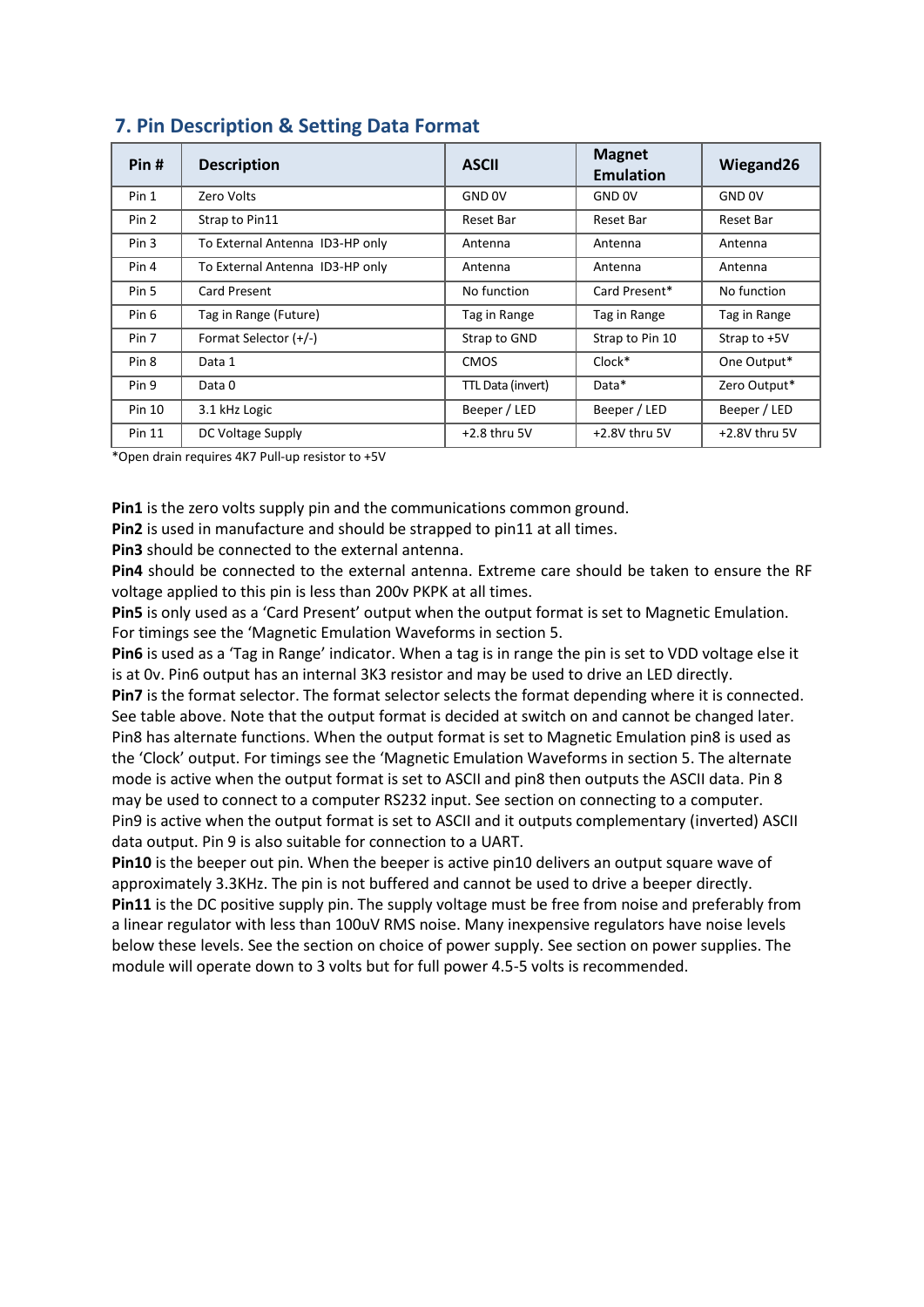| Pin#             | <b>Description</b>              | <b>ASCII</b>      | <b>Magnet</b><br><b>Emulation</b> | Wiegand26         |
|------------------|---------------------------------|-------------------|-----------------------------------|-------------------|
| Pin 1            | Zero Volts                      | <b>GND OV</b>     | <b>GND OV</b>                     | GND <sub>OV</sub> |
| Pin 2            | Strap to Pin11                  | Reset Bar         | Reset Bar                         | Reset Bar         |
| Pin <sub>3</sub> | To External Antenna ID3-HP only | Antenna           | Antenna                           | Antenna           |
| Pin 4            | To External Antenna ID3-HP only | Antenna           | Antenna                           | Antenna           |
| Pin 5            | Card Present                    | No function       | Card Present*                     | No function       |
| Pin 6            | Tag in Range (Future)           | Tag in Range      | Tag in Range                      | Tag in Range      |
| Pin 7            | Format Selector (+/-)           | Strap to GND      | Strap to Pin 10                   | Strap to +5V      |
| Pin <sub>8</sub> | Data 1                          | <b>CMOS</b>       | $Clock*$                          | One Output*       |
| Pin 9            | Data 0                          | TTL Data (invert) | Data*                             | Zero Output*      |
| <b>Pin 10</b>    | 3.1 kHz Logic                   | Beeper / LED      | Beeper / LED                      | Beeper / LED      |
| Pin 11           | DC Voltage Supply               | $+2.8$ thru 5V    | +2.8V thru 5V                     | $+2.8V$ thru 5V   |

# **7. Pin Description & Setting Data Format**

\*Open drain requires 4K7 Pull-up resistor to +5V

**Pin1** is the zero volts supply pin and the communications common ground.

Pin2 is used in manufacture and should be strapped to pin11 at all times.

**Pin3** should be connected to the external antenna.

**Pin4** should be connected to the external antenna. Extreme care should be taken to ensure the RF voltage applied to this pin is less than 200v PKPK at all times.

**Pin5** is only used as a 'Card Present' output when the output format is set to Magnetic Emulation. For timings see the 'Magnetic Emulation Waveforms in section 5.

**Pin6** is used as a 'Tag in Range' indicator. When a tag is in range the pin is set to VDD voltage else it is at 0v. Pin6 output has an internal 3K3 resistor and may be used to drive an LED directly. **Pin7** is the format selector. The format selector selects the format depending where it is connected. See table above. Note that the output format is decided at switch on and cannot be changed later. Pin8 has alternate functions. When the output format is set to Magnetic Emulation pin8 is used as the 'Clock' output. For timings see the 'Magnetic Emulation Waveforms in section 5. The alternate mode is active when the output format is set to ASCII and pin8 then outputs the ASCII data. Pin 8 may be used to connect to a computer RS232 input. See section on connecting to a computer. Pin9 is active when the output format is set to ASCII and it outputs complementary (inverted) ASCII data output. Pin 9 is also suitable for connection to a UART.

**Pin10** is the beeper out pin. When the beeper is active pin10 delivers an output square wave of approximately 3.3KHz. The pin is not buffered and cannot be used to drive a beeper directly. **Pin11** is the DC positive supply pin. The supply voltage must be free from noise and preferably from a linear regulator with less than 100uV RMS noise. Many inexpensive regulators have noise levels below these levels. See the section on choice of power supply. See section on power supplies. The module will operate down to 3 volts but for full power 4.5-5 volts is recommended.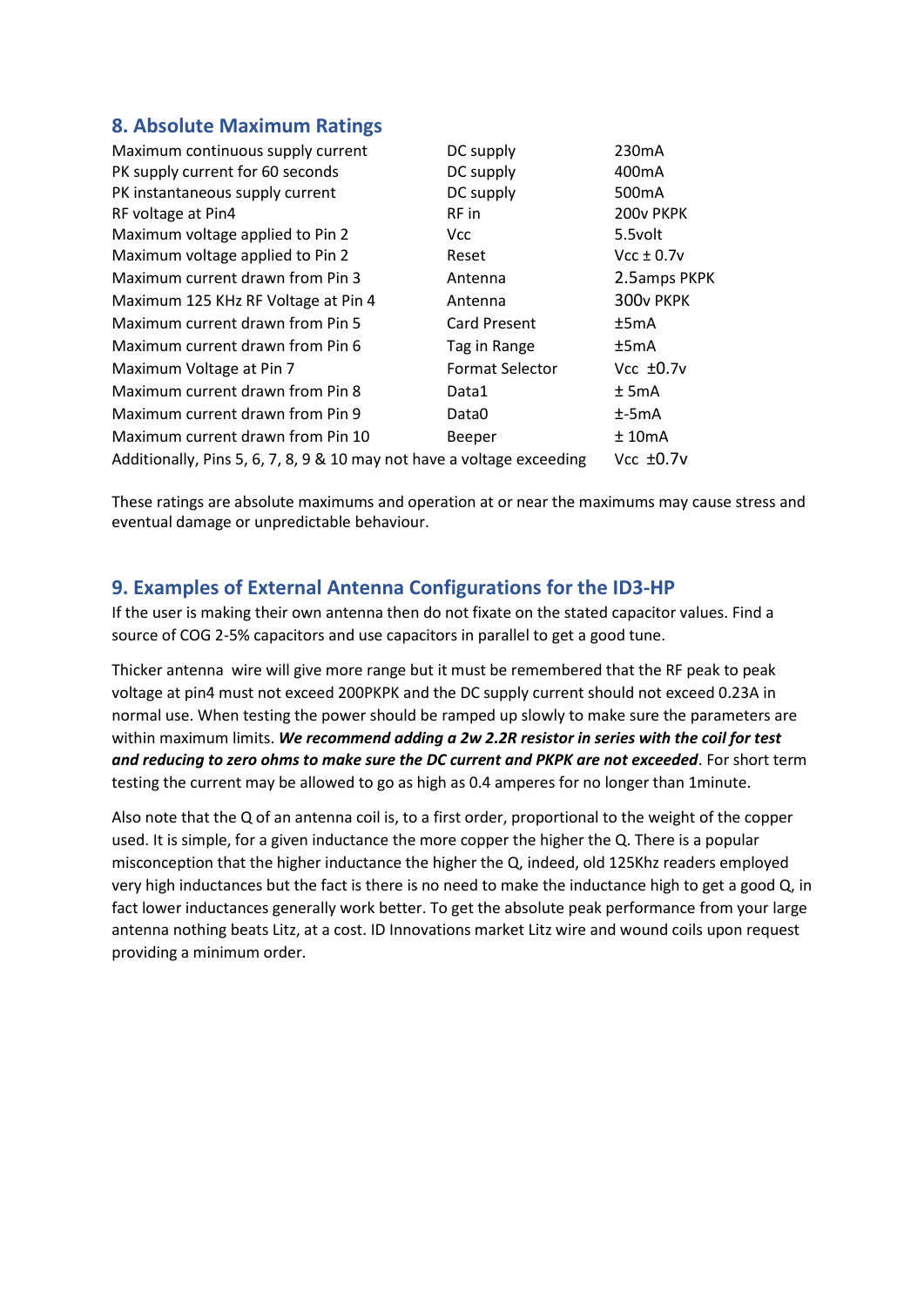# **8. Absolute Maximum Ratings**

| Maximum continuous supply current                                      | DC supply              | 230 <sub>m</sub> A |
|------------------------------------------------------------------------|------------------------|--------------------|
| PK supply current for 60 seconds                                       | DC supply              | 400 <sub>m</sub> A |
| PK instantaneous supply current                                        | DC supply              | 500 <sub>m</sub> A |
| RF voltage at Pin4                                                     | RF in                  | 200v PKPK          |
| Maximum voltage applied to Pin 2                                       | Vcc.                   | 5.5volt            |
| Maximum voltage applied to Pin 2                                       | Reset                  | $Vcc \pm 0.7v$     |
| Maximum current drawn from Pin 3                                       | Antenna                | 2.5amps PKPK       |
| Maximum 125 KHz RF Voltage at Pin 4                                    | Antenna                | 300v PKPK          |
| Maximum current drawn from Pin 5                                       | <b>Card Present</b>    | ±5mA               |
| Maximum current drawn from Pin 6                                       | Tag in Range           | ±5mA               |
| Maximum Voltage at Pin 7                                               | <b>Format Selector</b> | Vcc $±0.7v$        |
| Maximum current drawn from Pin 8                                       | Data1                  | $±$ 5mA            |
| Maximum current drawn from Pin 9                                       | Data0                  | $±-5mA$            |
| Maximum current drawn from Pin 10                                      | Beeper                 | ±10mA              |
| Additionally, Pins 5, 6, 7, 8, 9 & 10 may not have a voltage exceeding |                        | $Vcc \pm 0.7v$     |

These ratings are absolute maximums and operation at or near the maximums may cause stress and eventual damage or unpredictable behaviour.

# **9. Examples of External Antenna Configurations for the ID3-HP**

If the user is making their own antenna then do not fixate on the stated capacitor values. Find a source of COG 2-5% capacitors and use capacitors in parallel to get a good tune.

Thicker antenna wire will give more range but it must be remembered that the RF peak to peak voltage at pin4 must not exceed 200PKPK and the DC supply current should not exceed 0.23A in normal use. When testing the power should be ramped up slowly to make sure the parameters are within maximum limits. *We recommend adding a 2w 2.2R resistor in series with the coil for test and reducing to zero ohms to make sure the DC current and PKPK are not exceeded*. For short term testing the current may be allowed to go as high as 0.4 amperes for no longer than 1minute.

Also note that the Q of an antenna coil is, to a first order, proportional to the weight of the copper used. It is simple, for a given inductance the more copper the higher the Q. There is a popular misconception that the higher inductance the higher the Q, indeed, old 125Khz readers employed very high inductances but the fact is there is no need to make the inductance high to get a good Q, in fact lower inductances generally work better. To get the absolute peak performance from your large antenna nothing beats Litz, at a cost. ID Innovations market Litz wire and wound coils upon request providing a minimum order.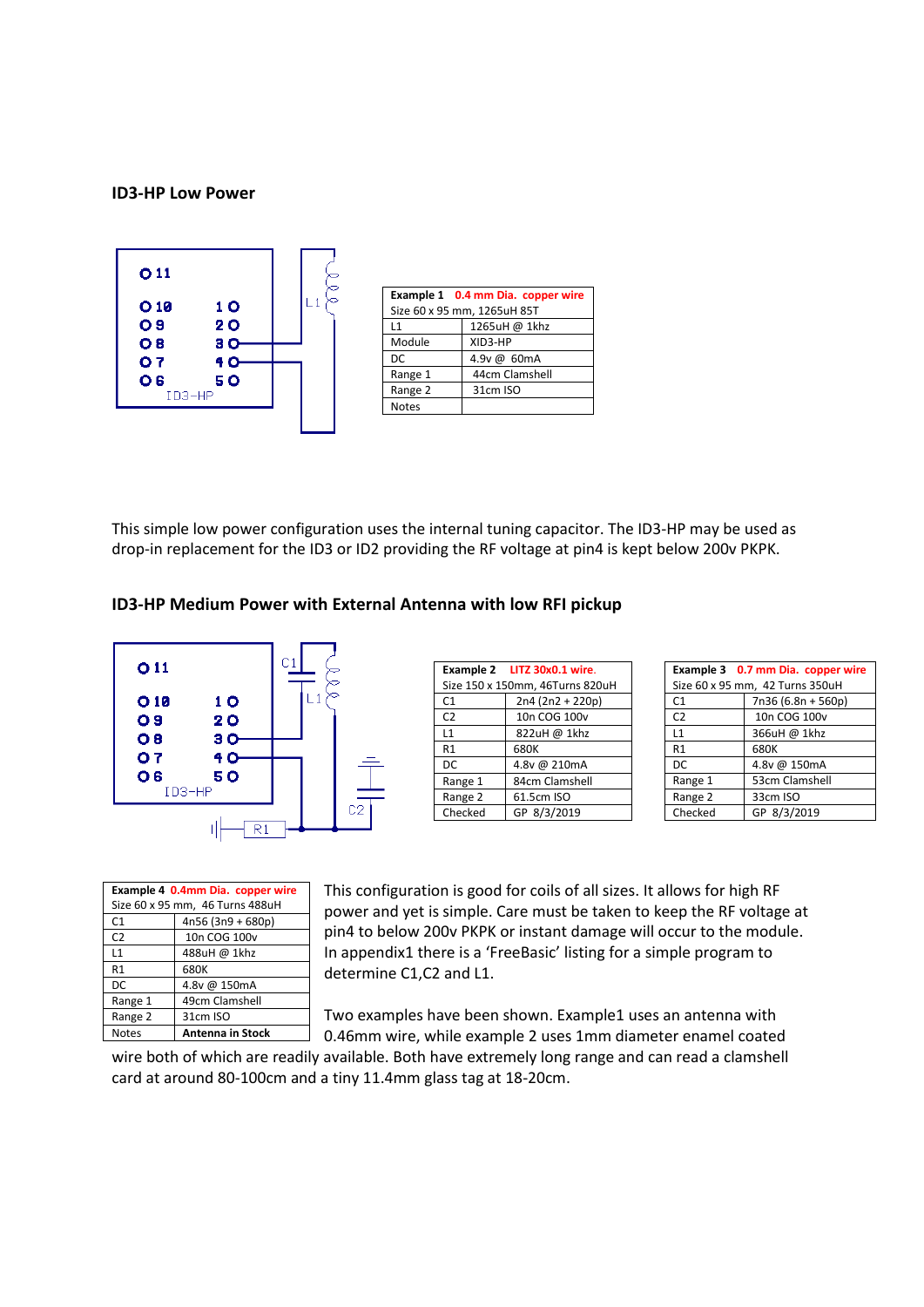#### **ID3-HP Low Power**



This simple low power configuration uses the internal tuning capacitor. The ID3-HP may be used as drop-in replacement for the ID3 or ID2 providing the RF voltage at pin4 is kept below 200v PKPK.





| Example 4 0.4mm Dia. copper wire |                  |  |  |  |  |
|----------------------------------|------------------|--|--|--|--|
| Size 60 x 95 mm, 46 Turns 488uH  |                  |  |  |  |  |
| 4n56 (3n9 + 680p)<br>C1          |                  |  |  |  |  |
| C <sub>2</sub>                   | 10n COG 100v     |  |  |  |  |
| L1                               | 488uH @ 1khz     |  |  |  |  |
| R1                               | 680K             |  |  |  |  |
| DC                               | 4.8v @ 150mA     |  |  |  |  |
| Range 1                          | 49cm Clamshell   |  |  |  |  |
| Range 2                          | 31cm ISO         |  |  |  |  |
| <b>Notes</b>                     | Antenna in Stock |  |  |  |  |

|                                 | Example 2 LITZ 30x0.1 wire. |  |  |  |
|---------------------------------|-----------------------------|--|--|--|
| Size 150 x 150mm, 46Turns 820uH |                             |  |  |  |
| C1                              | 2n4 (2n2 + 220p)            |  |  |  |
| C <sub>2</sub>                  | 10n COG 100v                |  |  |  |
| L1                              | 822uH @ 1khz                |  |  |  |
| R1                              | 680K                        |  |  |  |
| DC                              | 4.8v @ 210mA                |  |  |  |
| Range 1                         | 84cm Clamshell              |  |  |  |
| Range 2                         | 61.5cm ISO                  |  |  |  |
| Checked                         | GP 8/3/2019                 |  |  |  |

|                                 | Example 3 0.7 mm Dia. copper wire |  |  |  |  |
|---------------------------------|-----------------------------------|--|--|--|--|
| Size 60 x 95 mm, 42 Turns 350uH |                                   |  |  |  |  |
| C1                              | 7n36 (6.8n + 560p)                |  |  |  |  |
| C <sub>2</sub>                  | 10n COG 100v                      |  |  |  |  |
| L1                              | 366uH @ 1khz                      |  |  |  |  |
| R1                              | 680K                              |  |  |  |  |
| DC                              | 4.8v @ 150mA                      |  |  |  |  |
| Range 1                         | 53cm Clamshell                    |  |  |  |  |
| Range 2                         | 33cm ISO                          |  |  |  |  |
| Checked                         | GP 8/3/2019                       |  |  |  |  |

This configuration is good for coils of all sizes. It allows for high RF power and yet is simple. Care must be taken to keep the RF voltage at pin4 to below 200v PKPK or instant damage will occur to the module. In appendix1 there is a 'FreeBasic' listing for a simple program to determine C1,C2 and L1.

Two examples have been shown. Example1 uses an antenna with 0.46mm wire, while example 2 uses 1mm diameter enamel coated

wire both of which are readily available. Both have extremely long range and can read a clamshell card at around 80-100cm and a tiny 11.4mm glass tag at 18-20cm.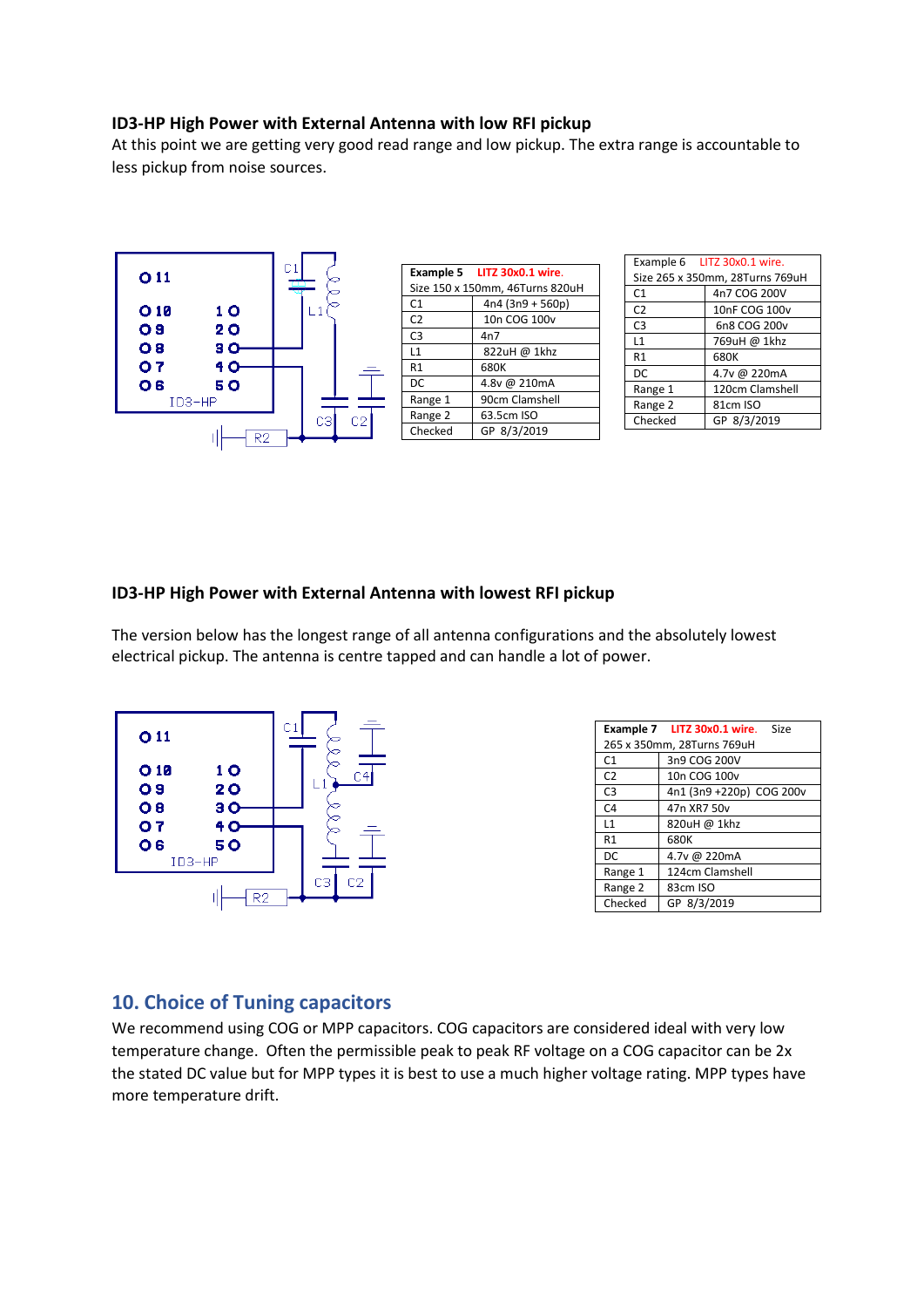#### **ID3-HP High Power with External Antenna with low RFI pickup**

At this point we are getting very good read range and low pickup. The extra range is accountable to less pickup from noise sources.



| Example 6 LITZ 30x0.1 wire.     |                 |  |  |
|---------------------------------|-----------------|--|--|
| Size 265 x 350mm, 28Turns 769uH |                 |  |  |
| C <sub>1</sub>                  | 4n7 COG 200V    |  |  |
| C <sub>2</sub>                  | 10nF COG 100v   |  |  |
| C <sub>3</sub>                  | 6n8 COG 200v    |  |  |
| L1                              | 769uH @ 1khz    |  |  |
| R1                              | 680K            |  |  |
| DC                              | 4.7v @ 220mA    |  |  |
| Range 1                         | 120cm Clamshell |  |  |
| Range 2                         | 81cm ISO        |  |  |
| Checked                         | GP 8/3/2019     |  |  |

#### **ID3-HP High Power with External Antenna with lowest RFI pickup**

The version below has the longest range of all antenna configurations and the absolutely lowest electrical pickup. The antenna is centre tapped and can handle a lot of power.



|                            | Example 7 LITZ 30x0.1 wire. Size |  |  |
|----------------------------|----------------------------------|--|--|
| 265 x 350mm, 28Turns 769uH |                                  |  |  |
| C <sub>1</sub>             | 3n9 COG 200V                     |  |  |
| C <sub>2</sub>             | 10n COG 100v                     |  |  |
| C <sub>3</sub>             | 4n1 (3n9 +220p) COG 200v         |  |  |
| C <sub>4</sub>             | 47n XR7 50v                      |  |  |
| L1                         | 820uH @ 1khz                     |  |  |
| R1                         | 680K                             |  |  |
| DC                         | 4.7v @ 220mA                     |  |  |
| Range 1                    | 124cm Clamshell                  |  |  |
| Range 2                    | 83cm ISO                         |  |  |
| Checked                    | GP 8/3/2019                      |  |  |

### **10. Choice of Tuning capacitors**

We recommend using COG or MPP capacitors. COG capacitors are considered ideal with very low temperature change. Often the permissible peak to peak RF voltage on a COG capacitor can be 2x the stated DC value but for MPP types it is best to use a much higher voltage rating. MPP types have more temperature drift.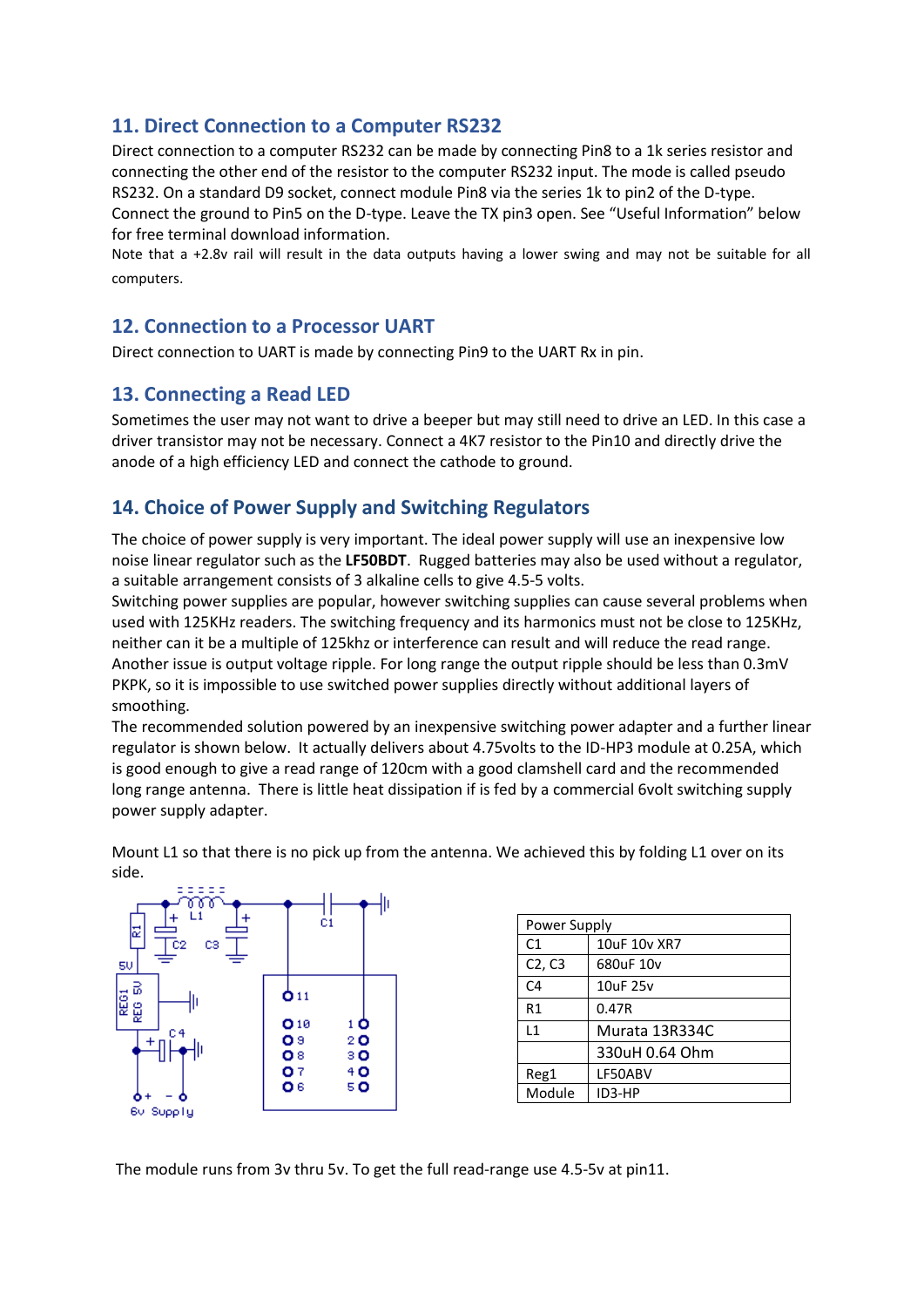# **11. Direct Connection to a Computer RS232**

Direct connection to a computer RS232 can be made by connecting Pin8 to a 1k series resistor and connecting the other end of the resistor to the computer RS232 input. The mode is called pseudo RS232. On a standard D9 socket, connect module Pin8 via the series 1k to pin2 of the D-type. Connect the ground to Pin5 on the D-type. Leave the TX pin3 open. See "Useful Information" below for free terminal download information.

Note that a +2.8v rail will result in the data outputs having a lower swing and may not be suitable for all computers.

#### **12. Connection to a Processor UART**

Direct connection to UART is made by connecting Pin9 to the UART Rx in pin.

### **13. Connecting a Read LED**

Sometimes the user may not want to drive a beeper but may still need to drive an LED. In this case a driver transistor may not be necessary. Connect a 4K7 resistor to the Pin10 and directly drive the anode of a high efficiency LED and connect the cathode to ground.

# **14. Choice of Power Supply and Switching Regulators**

The choice of power supply is very important. The ideal power supply will use an inexpensive low noise linear regulator such as the **LF50BDT**. Rugged batteries may also be used without a regulator, a suitable arrangement consists of 3 alkaline cells to give 4.5-5 volts.

Switching power supplies are popular, however switching supplies can cause several problems when used with 125KHz readers. The switching frequency and its harmonics must not be close to 125KHz, neither can it be a multiple of 125khz or interference can result and will reduce the read range. Another issue is output voltage ripple. For long range the output ripple should be less than 0.3mV PKPK, so it is impossible to use switched power supplies directly without additional layers of smoothing.

The recommended solution powered by an inexpensive switching power adapter and a further linear regulator is shown below. It actually delivers about 4.75volts to the ID-HP3 module at 0.25A, which is good enough to give a read range of 120cm with a good clamshell card and the recommended long range antenna. There is little heat dissipation if is fed by a commercial 6volt switching supply power supply adapter.



| Power Supply |                |  |  |
|--------------|----------------|--|--|
| C1           | 10uF 10v XR7   |  |  |
| C2, C3       | 680uF 10v      |  |  |
| C4           | 10uF 25v       |  |  |
| R1           | 0.47R          |  |  |
| l 1          | Murata 13R334C |  |  |
|              | 330uH 0.64 Ohm |  |  |
| Reg1         | LF50ABV        |  |  |
| Module       | ID3-HP         |  |  |
|              |                |  |  |

Mount L1 so that there is no pick up from the antenna. We achieved this by folding L1 over on its side.

The module runs from 3v thru 5v. To get the full read-range use 4.5-5v at pin11.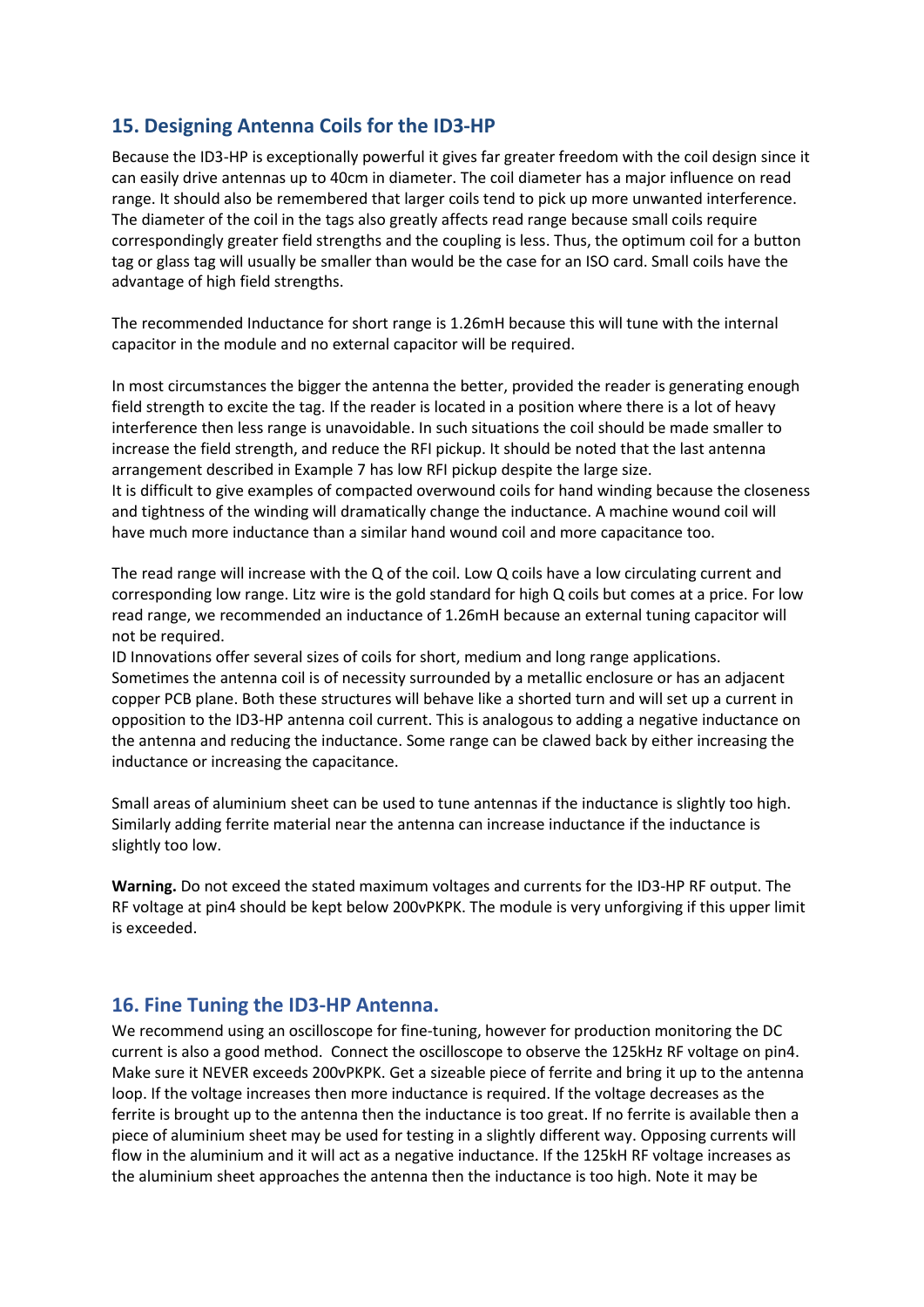# **15. Designing Antenna Coils for the ID3-HP**

Because the ID3-HP is exceptionally powerful it gives far greater freedom with the coil design since it can easily drive antennas up to 40cm in diameter. The coil diameter has a major influence on read range. It should also be remembered that larger coils tend to pick up more unwanted interference. The diameter of the coil in the tags also greatly affects read range because small coils require correspondingly greater field strengths and the coupling is less. Thus, the optimum coil for a button tag or glass tag will usually be smaller than would be the case for an ISO card. Small coils have the advantage of high field strengths.

The recommended Inductance for short range is 1.26mH because this will tune with the internal capacitor in the module and no external capacitor will be required.

In most circumstances the bigger the antenna the better, provided the reader is generating enough field strength to excite the tag. If the reader is located in a position where there is a lot of heavy interference then less range is unavoidable. In such situations the coil should be made smaller to increase the field strength, and reduce the RFI pickup. It should be noted that the last antenna arrangement described in Example 7 has low RFI pickup despite the large size. It is difficult to give examples of compacted overwound coils for hand winding because the closeness and tightness of the winding will dramatically change the inductance. A machine wound coil will have much more inductance than a similar hand wound coil and more capacitance too.

The read range will increase with the Q of the coil. Low Q coils have a low circulating current and corresponding low range. Litz wire is the gold standard for high Q coils but comes at a price. For low read range, we recommended an inductance of 1.26mH because an external tuning capacitor will not be required.

ID Innovations offer several sizes of coils for short, medium and long range applications. Sometimes the antenna coil is of necessity surrounded by a metallic enclosure or has an adjacent copper PCB plane. Both these structures will behave like a shorted turn and will set up a current in opposition to the ID3-HP antenna coil current. This is analogous to adding a negative inductance on the antenna and reducing the inductance. Some range can be clawed back by either increasing the inductance or increasing the capacitance.

Small areas of aluminium sheet can be used to tune antennas if the inductance is slightly too high. Similarly adding ferrite material near the antenna can increase inductance if the inductance is slightly too low.

**Warning.** Do not exceed the stated maximum voltages and currents for the ID3-HP RF output. The RF voltage at pin4 should be kept below 200vPKPK. The module is very unforgiving if this upper limit is exceeded.

### **16. Fine Tuning the ID3-HP Antenna.**

We recommend using an oscilloscope for fine-tuning, however for production monitoring the DC current is also a good method. Connect the oscilloscope to observe the 125kHz RF voltage on pin4. Make sure it NEVER exceeds 200vPKPK. Get a sizeable piece of ferrite and bring it up to the antenna loop. If the voltage increases then more inductance is required. If the voltage decreases as the ferrite is brought up to the antenna then the inductance is too great. If no ferrite is available then a piece of aluminium sheet may be used for testing in a slightly different way. Opposing currents will flow in the aluminium and it will act as a negative inductance. If the 125kH RF voltage increases as the aluminium sheet approaches the antenna then the inductance is too high. Note it may be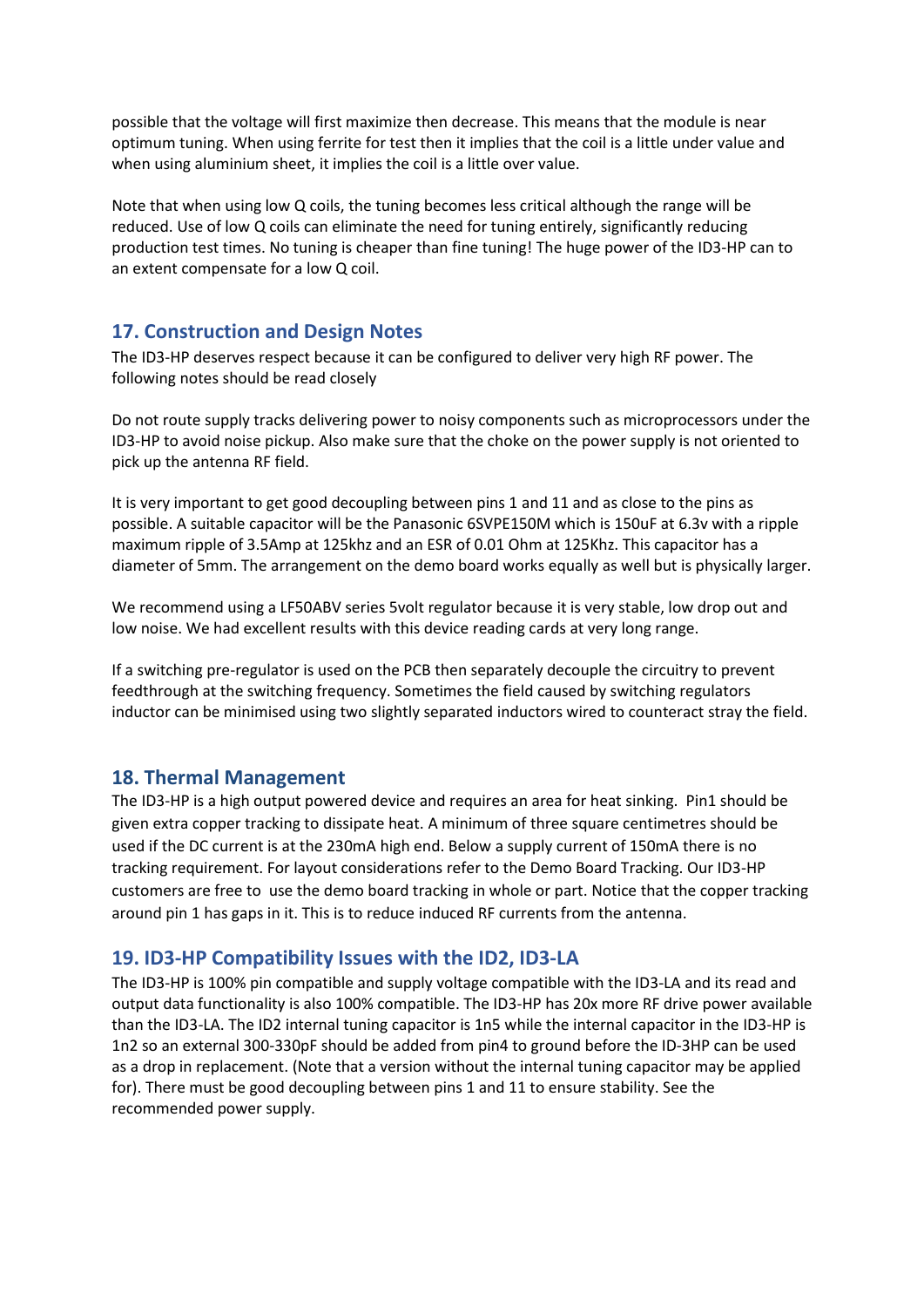possible that the voltage will first maximize then decrease. This means that the module is near optimum tuning. When using ferrite for test then it implies that the coil is a little under value and when using aluminium sheet, it implies the coil is a little over value.

Note that when using low Q coils, the tuning becomes less critical although the range will be reduced. Use of low Q coils can eliminate the need for tuning entirely, significantly reducing production test times. No tuning is cheaper than fine tuning! The huge power of the ID3-HP can to an extent compensate for a low Q coil.

### **17. Construction and Design Notes**

The ID3-HP deserves respect because it can be configured to deliver very high RF power. The following notes should be read closely

Do not route supply tracks delivering power to noisy components such as microprocessors under the ID3-HP to avoid noise pickup. Also make sure that the choke on the power supply is not oriented to pick up the antenna RF field.

It is very important to get good decoupling between pins 1 and 11 and as close to the pins as possible. A suitable capacitor will be the Panasonic 6SVPE150M which is 150uF at 6.3v with a ripple maximum ripple of 3.5Amp at 125khz and an ESR of 0.01 Ohm at 125Khz. This capacitor has a diameter of 5mm. The arrangement on the demo board works equally as well but is physically larger.

We recommend using a LF50ABV series 5volt regulator because it is very stable, low drop out and low noise. We had excellent results with this device reading cards at very long range.

If a switching pre-regulator is used on the PCB then separately decouple the circuitry to prevent feedthrough at the switching frequency. Sometimes the field caused by switching regulators inductor can be minimised using two slightly separated inductors wired to counteract stray the field.

### **18. Thermal Management**

The ID3-HP is a high output powered device and requires an area for heat sinking. Pin1 should be given extra copper tracking to dissipate heat. A minimum of three square centimetres should be used if the DC current is at the 230mA high end. Below a supply current of 150mA there is no tracking requirement. For layout considerations refer to the Demo Board Tracking. Our ID3-HP customers are free to use the demo board tracking in whole or part. Notice that the copper tracking around pin 1 has gaps in it. This is to reduce induced RF currents from the antenna.

### **19. ID3-HP Compatibility Issues with the ID2, ID3-LA**

The ID3-HP is 100% pin compatible and supply voltage compatible with the ID3-LA and its read and output data functionality is also 100% compatible. The ID3-HP has 20x more RF drive power available than the ID3-LA. The ID2 internal tuning capacitor is 1n5 while the internal capacitor in the ID3-HP is 1n2 so an external 300-330pF should be added from pin4 to ground before the ID-3HP can be used as a drop in replacement. (Note that a version without the internal tuning capacitor may be applied for). There must be good decoupling between pins 1 and 11 to ensure stability. See the recommended power supply.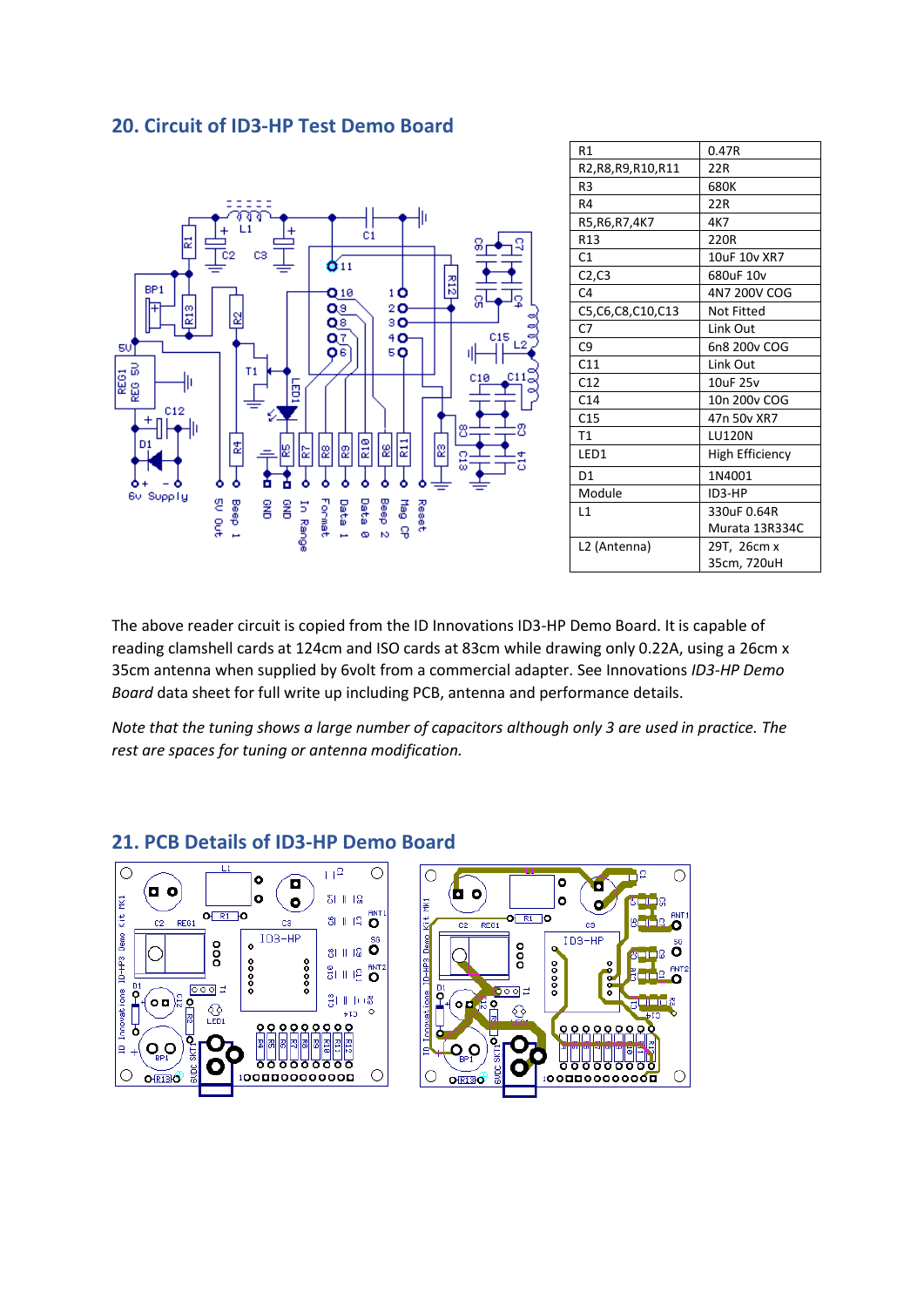### **20. Circuit of ID3-HP Test Demo Board**



| R1                   | 0.47R                  |  |
|----------------------|------------------------|--|
| R2,R8,R9,R10,R11     | 22R                    |  |
| R <sub>3</sub>       | 680K                   |  |
| R4                   | 22R                    |  |
| R5, R6, R7, 4K7      | 4K7                    |  |
| R <sub>13</sub>      | 220R                   |  |
| C <sub>1</sub>       | 10uF 10v XR7           |  |
| C2, C3               | 680uF 10v              |  |
| C <sub>4</sub>       | 4N7 200V COG           |  |
| C5, C6, C8, C10, C13 | Not Fitted             |  |
| C <sub>7</sub>       | Link Out               |  |
| C9                   | 6n8 200v COG           |  |
| C11                  | Link Out               |  |
| C12                  | 10uF 25v               |  |
| C <sub>14</sub>      | 10n 200v COG           |  |
| C <sub>15</sub>      | 47n 50y XR7            |  |
| T1                   | <b>LU120N</b>          |  |
| LED1                 | <b>High Efficiency</b> |  |
| D <sub>1</sub>       | 1N4001                 |  |
| Module               | ID3-HP                 |  |
| L1                   | 330uF 0.64R            |  |
|                      | Murata 13R334C         |  |
| L2 (Antenna)         | 29T, 26cm x            |  |
|                      | 35cm, 720uH            |  |

The above reader circuit is copied from the ID Innovations ID3-HP Demo Board. It is capable of reading clamshell cards at 124cm and ISO cards at 83cm while drawing only 0.22A, using a 26cm x 35cm antenna when supplied by 6volt from a commercial adapter. See Innovations *ID3-HP Demo Board* data sheet for full write up including PCB, antenna and performance details.

*Note that the tuning shows a large number of capacitors although only 3 are used in practice. The rest are spaces for tuning or antenna modification.*

#### $\overline{+1^2}$  $\bigcirc$  $\circ$  $\circ$  $\circ$ ō ø ۱o I. O ¤ bо  $\ddot{\mathbf{o}}$ 최대 18 Innovations ID-HP3 Demo Kit MK1  $\bullet$  $\bullet$ **ISK** ø  $O[R1]$ O 81 11 13 O  $O[R1]$ O REG1 cs c2  $REG1$ cs  $C<sub>2</sub>$  $ID3-HP$  $Demo_1$  $1D3-HF$ oo  $\bullet$ ooo  $81118$   $\bullet$ o  $ID$ -HP3  $00000$ 00000  $00000$ 하비용 <mark>O</mark>  $\overset{D1}{\mathsf{P}}$ 000 ő boold movations  $\sim$ o o $\approx$ 왕대 10종 ۱o lo d ደ  $\frac{1}{2}$  $\circ$ cte  $\circ$ ¢ ደ 00000000 7 뉇 Ŏ ١e Q <u>o o</u> ē <u>AAAAAAAA</u> 유유유유유우 "ס"ס ក Ъ О  $\circ$  $\circ$  $\circ$ 100000000000 100000000000 **ORISO O-RIBO**

### **21. PCB Details of ID3-HP Demo Board**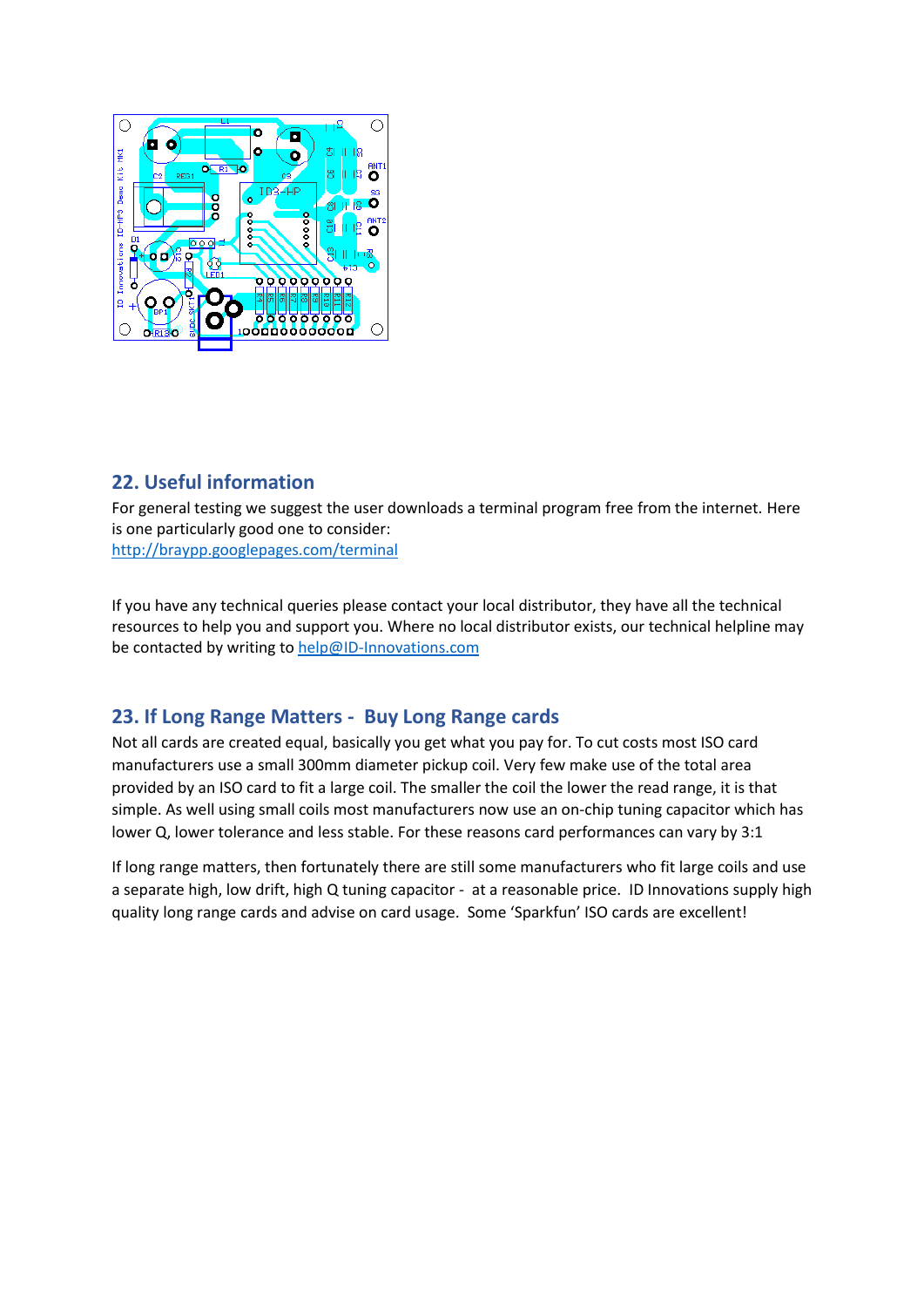

# **22. Useful information**

For general testing we suggest the user downloads a terminal program free from the internet. Here is one particularly good one to consider: <http://braypp.googlepages.com/terminal>

If you have any technical queries please contact your local distributor, they have all the technical resources to help you and support you. Where no local distributor exists, our technical helpline may be contacted by writing to [help@ID-Innovations.com](mailto:help@ID-Innovations.com)

# **23. If Long Range Matters - Buy Long Range cards**

Not all cards are created equal, basically you get what you pay for. To cut costs most ISO card manufacturers use a small 300mm diameter pickup coil. Very few make use of the total area provided by an ISO card to fit a large coil. The smaller the coil the lower the read range, it is that simple. As well using small coils most manufacturers now use an on-chip tuning capacitor which has lower Q, lower tolerance and less stable. For these reasons card performances can vary by 3:1

If long range matters, then fortunately there are still some manufacturers who fit large coils and use a separate high, low drift, high Q tuning capacitor - at a reasonable price. ID Innovations supply high quality long range cards and advise on card usage. Some 'Sparkfun' ISO cards are excellent!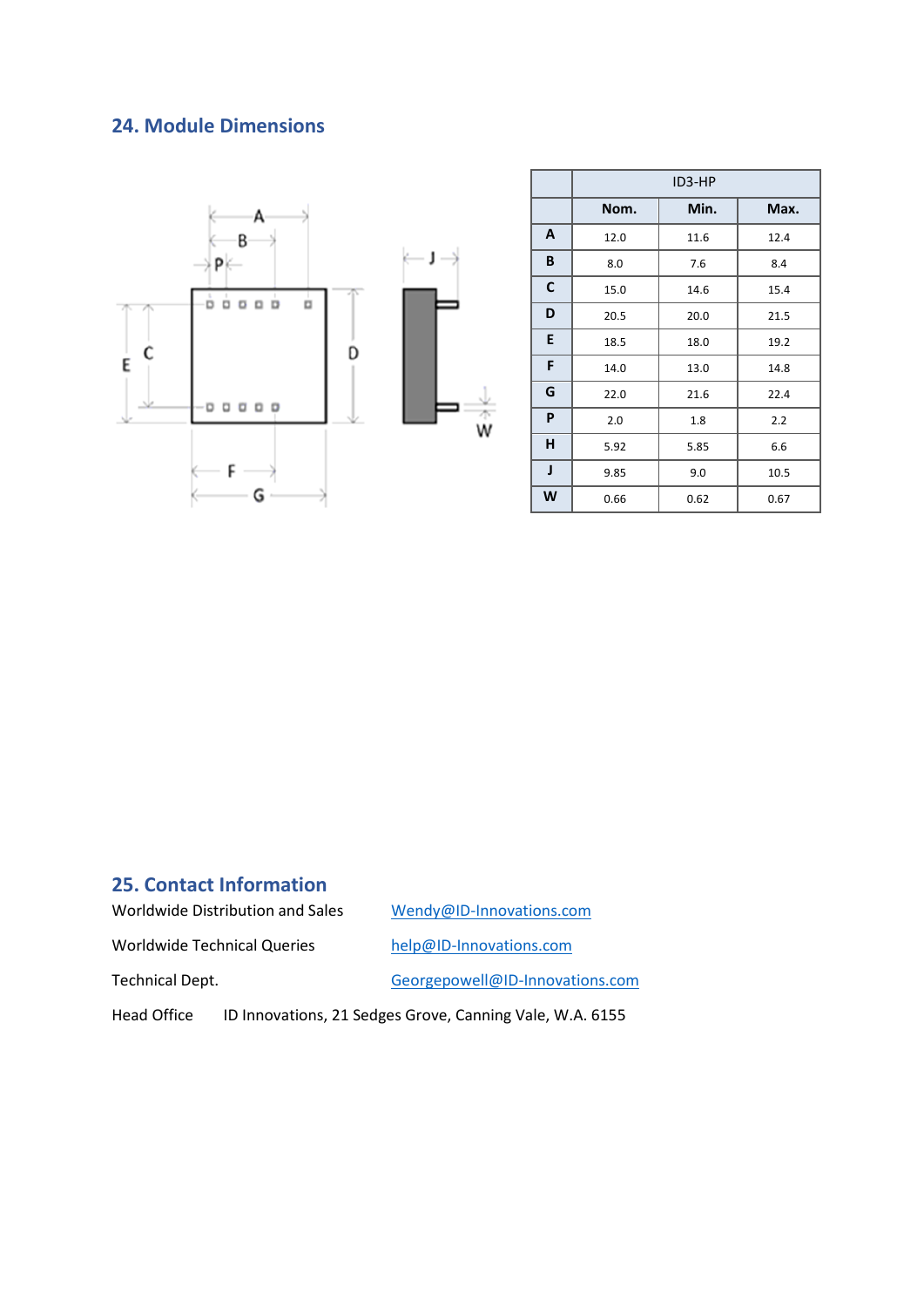# **24. Module Dimensions**



|    | ID3-HP |      |      |  |  |
|----|--------|------|------|--|--|
|    | Nom.   | Min. | Max. |  |  |
| A  | 12.0   | 11.6 | 12.4 |  |  |
| B  | 8.0    | 7.6  | 8.4  |  |  |
| C  | 15.0   | 14.6 | 15.4 |  |  |
| D  | 20.5   | 20.0 | 21.5 |  |  |
| E. | 18.5   | 18.0 | 19.2 |  |  |
| F  | 14.0   | 13.0 | 14.8 |  |  |
| G  | 22.0   | 21.6 | 22.4 |  |  |
| P  | 2.0    | 1.8  | 2.2  |  |  |
| H  | 5.92   | 5.85 | 6.6  |  |  |
| J  | 9.85   | 9.0  | 10.5 |  |  |
| W  | 0.66   | 0.62 | 0.67 |  |  |

## **25. Contact Information**

Worldwide Distribution and Sales [Wendy@ID-Innovations.com](mailto:Wendy@ID-Innovations.com)

Worldwide Technical Queries [help@ID-Innovations.com](mailto:help@ID-Innovations.com)

Technical Dept. [Georgepowell@ID-Innovations.com](mailto:Georgepowell@ID-Innovations.com)

Head Office ID Innovations, 21 Sedges Grove, Canning Vale, W.A. 6155